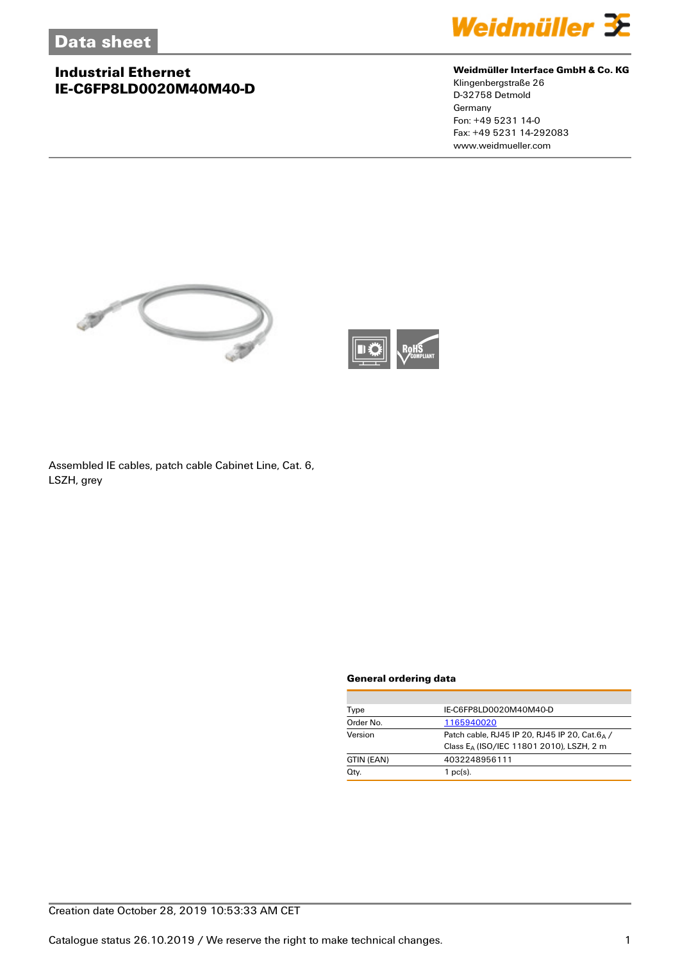

### **Weidmüller Interface GmbH & Co. KG**

Klingenbergstraße 26 D-32758 Detmold **Germany** Fon: +49 5231 14-0 Fax: +49 5231 14-292083 www.weidmueller.com





Assembled IE cables, patch cable Cabinet Line, Cat. 6, LSZH, grey

#### **General ordering data**

| Type       | IE-C6FP8LD0020M40M40-D                               |  |  |
|------------|------------------------------------------------------|--|--|
| Order No.  | 1165940020                                           |  |  |
| Version    | Patch cable, RJ45 IP 20, RJ45 IP 20, Cat.64 /        |  |  |
|            | Class E <sub>A</sub> (ISO/IEC 11801 2010), LSZH, 2 m |  |  |
| GTIN (EAN) | 4032248956111                                        |  |  |
| Qty.       | $1$ pc(s).                                           |  |  |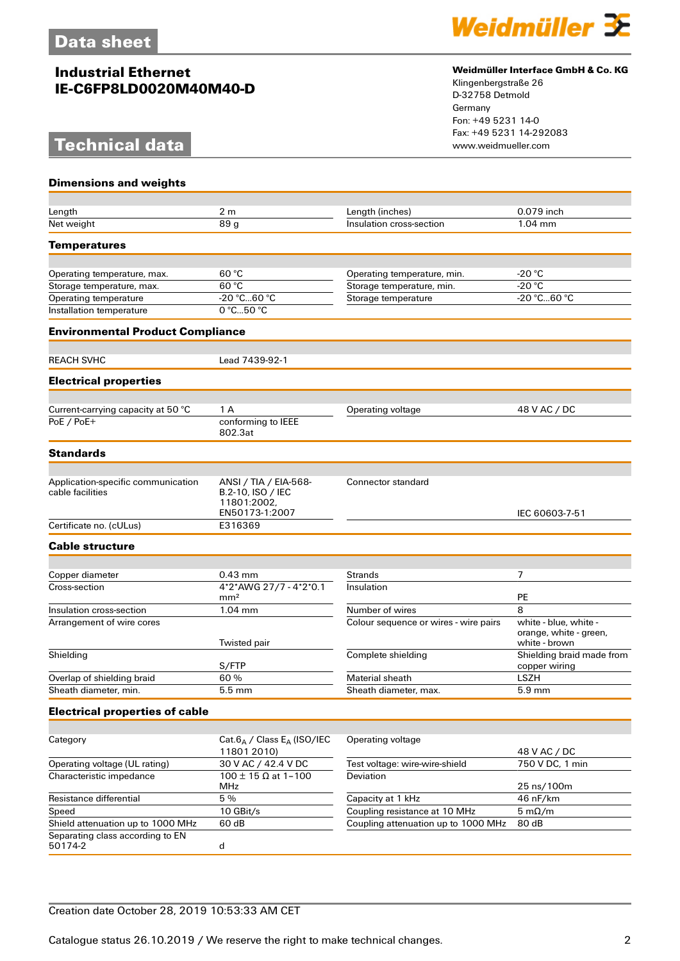## **Technical data**



### **Weidmüller Interface GmbH & Co. KG**

Klingenbergstraße 26 D-32758 Detmold Germany Fon: +49 5231 14-0 Fax: +49 5231 14-292083

| <b>Dimensions and weights</b>                          |                                                                             |                                       |                                                                  |
|--------------------------------------------------------|-----------------------------------------------------------------------------|---------------------------------------|------------------------------------------------------------------|
| Length                                                 | 2 <sub>m</sub>                                                              | Length (inches)                       | 0.079 inch                                                       |
| Net weight                                             | 89 g                                                                        | Insulation cross-section              | $1.04$ mm                                                        |
|                                                        |                                                                             |                                       |                                                                  |
| <b>Temperatures</b>                                    |                                                                             |                                       |                                                                  |
| Operating temperature, max.                            | 60 °C                                                                       | Operating temperature, min.           | -20 °C                                                           |
| Storage temperature, max.                              | 60 °C                                                                       | Storage temperature, min.             | $-20 °C$                                                         |
| Operating temperature                                  | -20 °C60 °C                                                                 | Storage temperature                   | -20 °C60 °C                                                      |
| Installation temperature                               | $0^{\circ}$ C50 $^{\circ}$ C                                                |                                       |                                                                  |
| <b>Environmental Product Compliance</b>                |                                                                             |                                       |                                                                  |
| <b>REACH SVHC</b>                                      | Lead 7439-92-1                                                              |                                       |                                                                  |
| <b>Electrical properties</b>                           |                                                                             |                                       |                                                                  |
|                                                        |                                                                             |                                       |                                                                  |
| Current-carrying capacity at 50 °C                     | 1 A                                                                         | Operating voltage                     | 48 V AC / DC                                                     |
| PoE / PoE+                                             | conforming to IEEE<br>802.3at                                               |                                       |                                                                  |
| <b>Standards</b>                                       |                                                                             |                                       |                                                                  |
|                                                        |                                                                             |                                       |                                                                  |
| Application-specific communication<br>cable facilities | ANSI / TIA / EIA-568-<br>B.2-10, ISO / IEC<br>11801:2002,<br>EN50173-1:2007 | <b>Connector standard</b>             | IEC 60603-7-51                                                   |
| Certificate no. (cULus)                                | E316369                                                                     |                                       |                                                                  |
| <b>Cable structure</b>                                 |                                                                             |                                       |                                                                  |
|                                                        |                                                                             |                                       |                                                                  |
| Copper diameter                                        | $0.43$ mm                                                                   | <b>Strands</b>                        | 7                                                                |
| Cross-section                                          | 4*2*AWG 27/7 - 4*2*0.1<br>mm <sup>2</sup>                                   | Insulation                            | PE                                                               |
| Insulation cross-section                               | $1.04$ mm                                                                   | Number of wires                       | 8                                                                |
| Arrangement of wire cores                              | <b>Twisted pair</b>                                                         | Colour sequence or wires - wire pairs | white - blue, white -<br>orange, white - green,<br>white - brown |
| Shielding                                              |                                                                             | Complete shielding                    | Shielding braid made from                                        |
|                                                        | S/FTP                                                                       |                                       | copper wiring                                                    |
| Overlap of shielding braid                             | 60 %                                                                        | <b>Material sheath</b>                | <b>LSZH</b>                                                      |
| Sheath diameter, min.                                  | 5.5 mm                                                                      | Sheath diameter, max.                 | 5.9 mm                                                           |
| <b>Electrical properties of cable</b>                  |                                                                             |                                       |                                                                  |
| Category                                               | Cat. $6_A$ / Class E <sub>A</sub> (ISO/IEC<br>11801 2010)                   | Operating voltage                     | 48 V AC / DC                                                     |
| Operating voltage (UL rating)                          | 30 V AC / 42.4 V DC                                                         | Test voltage: wire-wire-shield        | 750 V DC, 1 min                                                  |
| Characteristic impedance                               | $100 \pm 15 \Omega$ at 1-100<br><b>MHz</b>                                  | <b>Deviation</b>                      | 25 ns/100m                                                       |
| Resistance differential                                | 5 %                                                                         | Capacity at 1 kHz                     | 46 nF/km                                                         |
| Speed                                                  | 10 GBit/s                                                                   | Coupling resistance at 10 MHz         | $5 \text{ mA/m}$                                                 |
| Shield attenuation up to 1000 MHz                      | 60 dB                                                                       | Coupling attenuation up to 1000 MHz   | 80 dB                                                            |
| Separating class according to EN                       |                                                                             |                                       |                                                                  |

50174-2 d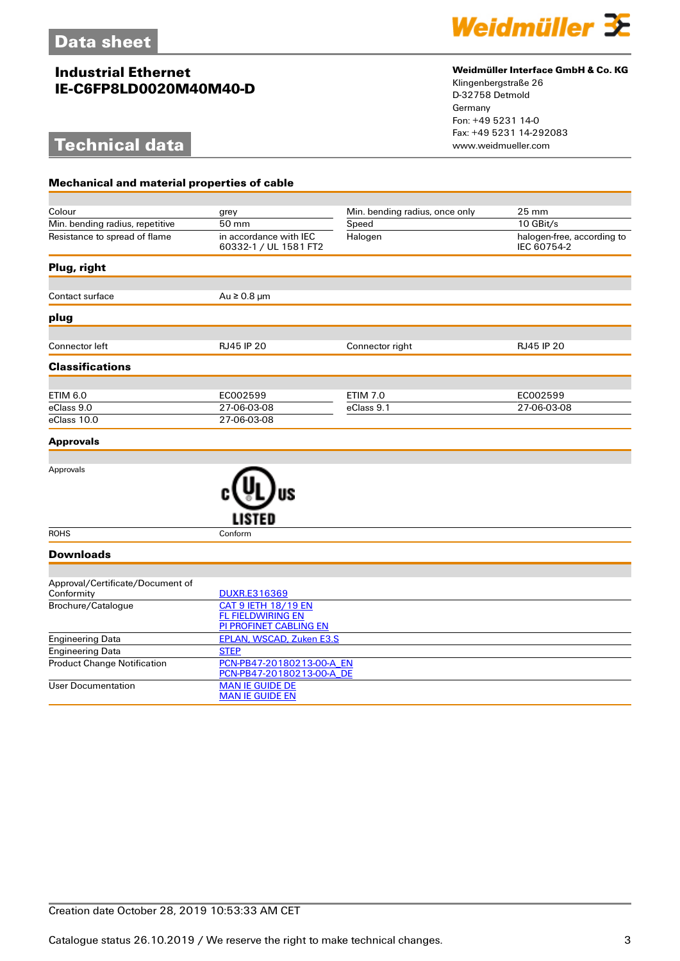**Mechanical and material properties of cable**

# **Technical data**



### **Weidmüller Interface GmbH & Co. KG**

Klingenbergstraße 26 D-32758 Detmold Germany Fon: +49 5231 14-0 Fax: +49 5231 14-292083

| Colour                                         | grey                                                                                    | Min. bending radius, once only | $25 \text{ mm}$                           |  |  |
|------------------------------------------------|-----------------------------------------------------------------------------------------|--------------------------------|-------------------------------------------|--|--|
| Min. bending radius, repetitive                | 50 mm                                                                                   | Speed                          | 10 GBit/s                                 |  |  |
| Resistance to spread of flame                  | in accordance with IEC<br>60332-1 / UL 1581 FT2                                         | Halogen                        | halogen-free, according to<br>IEC 60754-2 |  |  |
| Plug, right                                    |                                                                                         |                                |                                           |  |  |
| Contact surface                                | $Au \ge 0.8 \mu m$                                                                      |                                |                                           |  |  |
| plug                                           |                                                                                         |                                |                                           |  |  |
| Connector left                                 | RJ45 IP 20                                                                              | Connector right                | RJ45 IP 20                                |  |  |
| <b>Classifications</b>                         |                                                                                         |                                |                                           |  |  |
| <b>ETIM 6.0</b>                                | EC002599                                                                                | <b>ETIM 7.0</b>                | EC002599                                  |  |  |
| eClass 9.0                                     | 27-06-03-08                                                                             | eClass 9.1                     | 27-06-03-08                               |  |  |
| eClass 10.0                                    | 27-06-03-08                                                                             |                                |                                           |  |  |
| <b>Approvals</b>                               |                                                                                         |                                |                                           |  |  |
|                                                |                                                                                         |                                |                                           |  |  |
| Approvals                                      |                                                                                         |                                |                                           |  |  |
| <b>ROHS</b>                                    | Conform                                                                                 |                                |                                           |  |  |
| <b>Downloads</b>                               |                                                                                         |                                |                                           |  |  |
|                                                |                                                                                         |                                |                                           |  |  |
| Approval/Certificate/Document of<br>Conformity | <b>DUXR.E316369</b>                                                                     |                                |                                           |  |  |
| Brochure/Catalogue                             | <b>CAT 9 IETH 18/19 EN</b><br><b>FL FIELDWIRING EN</b><br><b>PI PROFINET CABLING EN</b> |                                |                                           |  |  |
| <b>Engineering Data</b>                        | <b>EPLAN, WSCAD, Zuken E3.S</b>                                                         |                                |                                           |  |  |
| <b>Engineering Data</b>                        | <b>STEP</b>                                                                             |                                |                                           |  |  |
| <b>Product Change Notification</b>             | PCN-PB47-20180213-00-A EN<br>PCN-PB47-20180213-00-A_DE                                  |                                |                                           |  |  |
| <b>User Documentation</b>                      | <b>MAN IE GUIDE DE</b><br><b>MAN IE GUIDE EN</b>                                        |                                |                                           |  |  |